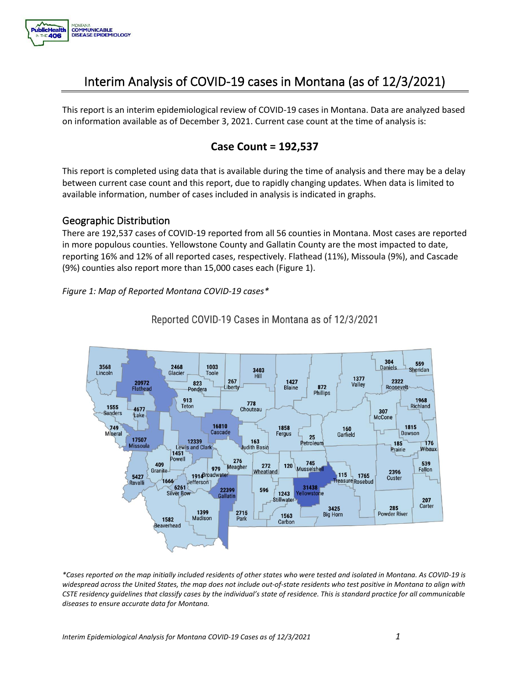

# Interim Analysis of COVID-19 cases in Montana (as of 12/3/2021)

 This report is an interim epidemiological review of COVID-19 cases in Montana. Data are analyzed based on information available as of December 3, 2021. Current case count at the time of analysis is:

# **Case Count = 192,537**

This report is completed using data that is available during the time of analysis and there may be a delay between current case count and this report, due to rapidly changing updates. When data is limited to available information, number of cases included in analysis is indicated in graphs.

### Geographic Distribution

There are 192,537 cases of COVID-19 reported from all 56 counties in Montana. Most cases are reported in more populous counties. Yellowstone County and Gallatin County are the most impacted to date, reporting 16% and 12% of all reported cases, respectively. Flathead (11%), Missoula (9%), and Cascade (9%) counties also report more than 15,000 cases each (Figure 1).

#### *Figure 1: Map of Reported Montana COVID-19 cases\**



Reported COVID-19 Cases in Montana as of 12/3/2021

 *widespread across the United States, the map does not include out-of-state residents who test positive in Montana to align with \*Cases reported on the map initially included residents of other states who were tested and isolated in Montana. As COVID-19 is CSTE residency guidelines that classify cases by the individual's state of residence. This is standard practice for all communicable diseases to ensure accurate data for Montana.*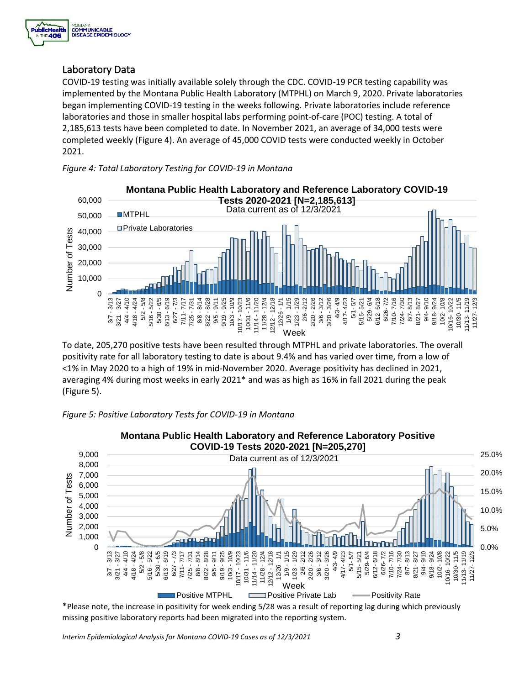

# Laboratory Data

 implemented by the Montana Public Health Laboratory (MTPHL) on March 9, 2020. Private laboratories COVID-19 testing was initially available solely through the CDC. COVID-19 PCR testing capability was began implementing COVID-19 testing in the weeks following. Private laboratories include reference laboratories and those in smaller hospital labs performing point-of-care (POC) testing. A total of 2,185,613 tests have been completed to date. In November 2021, an average of 34,000 tests were completed weekly (Figure 4). An average of 45,000 COVID tests were conducted weekly in October 2021.



*Figure 4: Total Laboratory Testing for COVID-19 in Montana* 

To date, 205,270 positive tests have been resulted through MTPHL and private laboratories. The overall positivity rate for all laboratory testing to date is about 9.4% and has varied over time, from a low of <1% in May 2020 to a high of 19% in mid-November 2020. Average positivity has declined in 2021, averaging 4% during most weeks in early 2021\* and was as high as 16% in fall 2021 during the peak (Figure 5).



*Figure 5: Positive Laboratory Tests for COVID-19 in Montana* 

\*Please note, the increase in positivity for week ending 5/28 was a result of reporting lag during which previously missing positive laboratory reports had been migrated into the reporting system.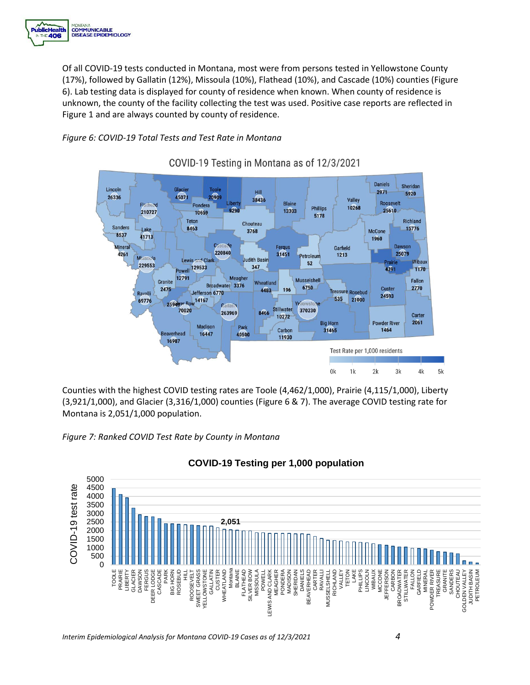

 Of all COVID-19 tests conducted in Montana, most were from persons tested in Yellowstone County 6). Lab testing data is displayed for county of residence when known. When county of residence is (17%), followed by Gallatin (12%), Missoula (10%), Flathead (10%), and Cascade (10%) counties (Figure unknown, the county of the facility collecting the test was used. Positive case reports are reflected in Figure 1 and are always counted by county of residence.

### *Figure 6: COVID-19 Total Tests and Test Rate in Montana*



COVID-19 Testing in Montana as of 12/3/2021

 Counties with the highest COVID testing rates are Toole (4,462/1,000), Prairie (4,115/1,000), Liberty (3,921/1,000), and Glacier (3,316/1,000) counties (Figure 6 & 7). The average COVID testing rate for Montana is 2,051/1,000 population.





## **COVID-19 Testing per 1,000 population**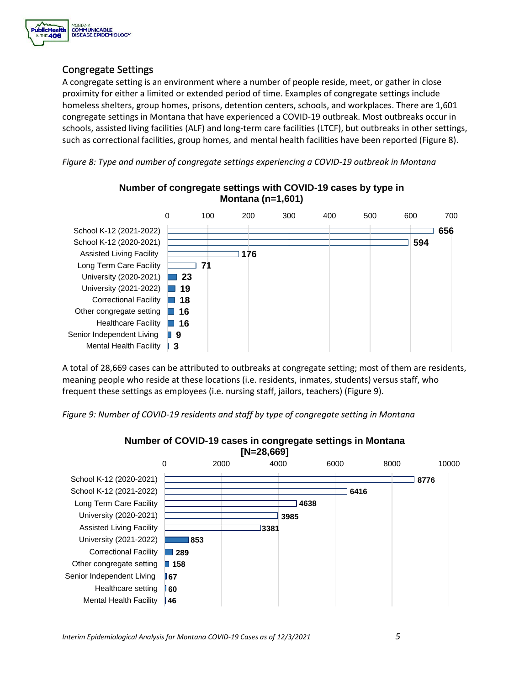

## Congregate Settings

A congregate setting is an environment where a number of people reside, meet, or gather in close proximity for either a limited or extended period of time. Examples of congregate settings include homeless shelters, group homes, prisons, detention centers, schools, and workplaces. There are 1,601 congregate settings in Montana that have experienced a COVID-19 outbreak. Most outbreaks occur in schools, assisted living facilities (ALF) and long-term care facilities (LTCF), but outbreaks in other settings, such as correctional facilities, group homes, and mental health facilities have been reported (Figure 8).

*Figure 8: Type and number of congregate settings experiencing a COVID-19 outbreak in Montana* 



### **Number of congregate settings with COVID-19 cases by type in Montana (n=1,601)**

 A total of 28,669 cases can be attributed to outbreaks at congregate setting; most of them are residents, meaning people who reside at these locations (i.e. residents, inmates, students) versus staff, who frequent these settings as employees (i.e. nursing staff, jailors, teachers) (Figure 9).

*Figure 9: Number of COVID-19 residents and staff by type of congregate setting in Montana* 



# **Number of COVID-19 cases in congregate settings in Montana**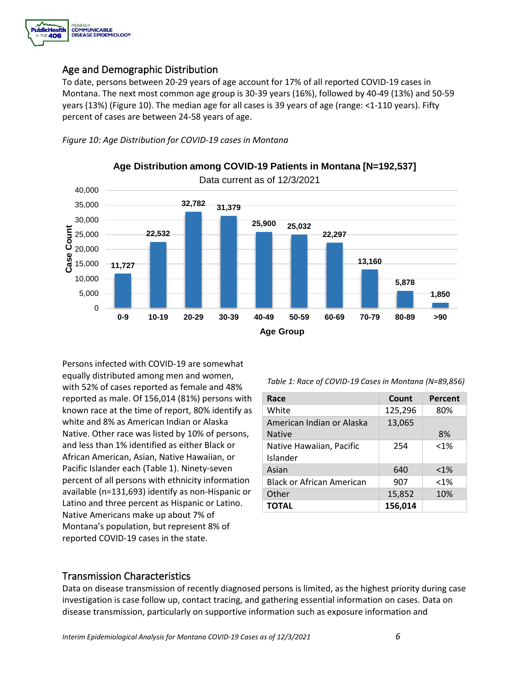

### Age and Demographic Distribution

To date, persons between 20-29 years of age account for 17% of all reported COVID-19 cases in Montana. The next most common age group is 30-39 years (16%), followed by 40-49 (13%) and 50-59 years (13%) (Figure 10). The median age for all cases is 39 years of age (range: <1-110 years). Fifty percent of cases are between 24-58 years of age.





 **Age Distribution among COVID-19 Patients in Montana [N=192,537]** 

 and less than 1% identified as either Black or Montana's population, but represent 8% of equally distributed among men and women, with 52% of cases reported as female and 48% reported as male. Of 156,014 (81%) persons with known race at the time of report, 80% identify as white and 8% as American Indian or Alaska Native. Other race was listed by 10% of persons, African American, Asian, Native Hawaiian, or Pacific Islander each (Table 1). Ninety-seven percent of all persons with ethnicity information available (n=131,693) identify as non-Hispanic or Latino and three percent as Hispanic or Latino. Native Americans make up about 7% of reported COVID-19 cases in the state.

| Table 1: Race of COVID-19 Cases in Montana (N=89,856) |  |
|-------------------------------------------------------|--|
|                                                       |  |

| Race                                       | Count   | Percent |
|--------------------------------------------|---------|---------|
| White                                      | 125,296 | 80%     |
| American Indian or Alaska<br><b>Native</b> | 13,065  | 8%      |
| Native Hawaiian, Pacific<br>Islander       | 254     | $< 1\%$ |
| Asian                                      | 640     | $< 1\%$ |
| <b>Black or African American</b>           | 907     | $< 1\%$ |
| Other                                      | 15,852  | 10%     |
| <b>TOTAL</b>                               | 156,014 |         |

## Transmission Characteristics

 disease transmission, particularly on supportive information such as exposure information and Data on disease transmission of recently diagnosed persons is limited, as the highest priority during case investigation is case follow up, contact tracing, and gathering essential information on cases. Data on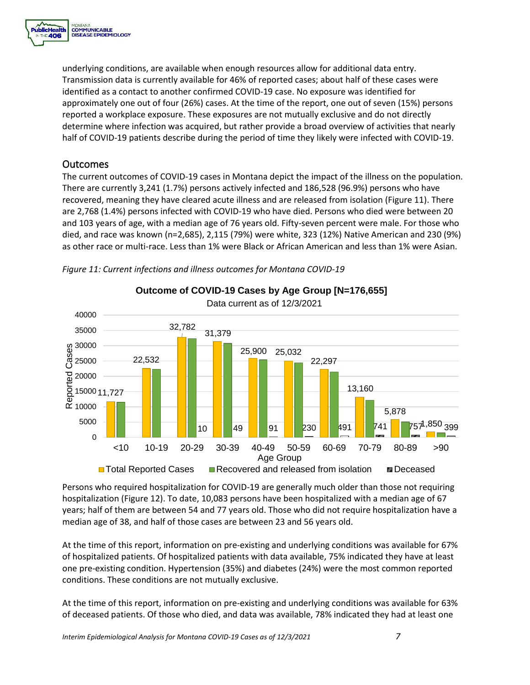

underlying conditions, are available when enough resources allow for additional data entry. Transmission data is currently available for 46% of reported cases; about half of these cases were identified as a contact to another confirmed COVID-19 case. No exposure was identified for approximately one out of four (26%) cases. At the time of the report, one out of seven (15%) persons reported a workplace exposure. These exposures are not mutually exclusive and do not directly determine where infection was acquired, but rather provide a broad overview of activities that nearly half of COVID-19 patients describe during the period of time they likely were infected with COVID-19.

# Outcomes

The current outcomes of COVID-19 cases in Montana depict the impact of the illness on the population. There are currently 3,241 (1.7%) persons actively infected and 186,528 (96.9%) persons who have recovered, meaning they have cleared acute illness and are released from isolation (Figure 11). There are 2,768 (1.4%) persons infected with COVID-19 who have died. Persons who died were between 20 and 103 years of age, with a median age of 76 years old. Fifty-seven percent were male. For those who died, and race was known (n=2,685), 2,115 (79%) were white, 323 (12%) Native American and 230 (9%) as other race or multi-race. Less than 1% were Black or African American and less than 1% were Asian.



*Figure 11: Current infections and illness outcomes for Montana COVID-19* 

 years; half of them are between 54 and 77 years old. Those who did not require hospitalization have a median age of 38, and half of those cases are between 23 and 56 years old. Persons who required hospitalization for COVID-19 are generally much older than those not requiring hospitalization (Figure 12). To date, 10,083 persons have been hospitalized with a median age of 67

median age of 38, and half of those cases are between 23 and 56 years old.<br>At the time of this report, information on pre-existing and underlying conditions was available for 67% of hospitalized patients. Of hospitalized patients with data available, 75% indicated they have at least one pre-existing condition. Hypertension (35%) and diabetes (24%) were the most common reported conditions. These conditions are not mutually exclusive.

At the time of this report, information on pre-existing and underlying conditions was available for 63% of deceased patients. Of those who died, and data was available, 78% indicated they had at least one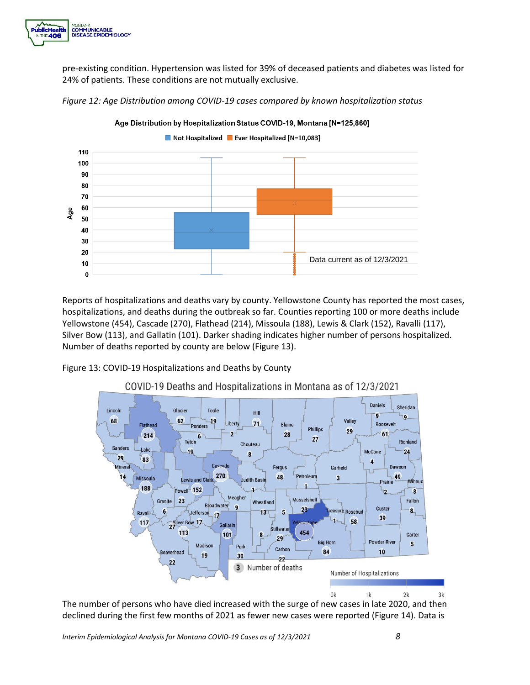

pre-existing condition. Hypertension was listed for 39% of deceased patients and diabetes was listed for 24% of patients. These conditions are not mutually exclusive.



*Figure 12: Age Distribution among COVID-19 cases compared by known hospitalization status* 

Reports of hospitalizations and deaths vary by county. Yellowstone County has reported the most cases, hospitalizations, and deaths during the outbreak so far. Counties reporting 100 or more deaths include Yellowstone (454), Cascade (270), Flathead (214), Missoula (188), Lewis & Clark (152), Ravalli (117), Silver Bow (113), and Gallatin (101). Darker shading indicates higher number of persons hospitalized. Number of deaths reported by county are below (Figure 13).

Figure 13: COVID-19 Hospitalizations and Deaths by County



COVID-19 Deaths and Hospitalizations in Montana as of 12/3/2021

The number of persons who have died increased with the surge of new cases in late 2020, and then declined during the first few months of 2021 as fewer new cases were reported (Figure 14). Data is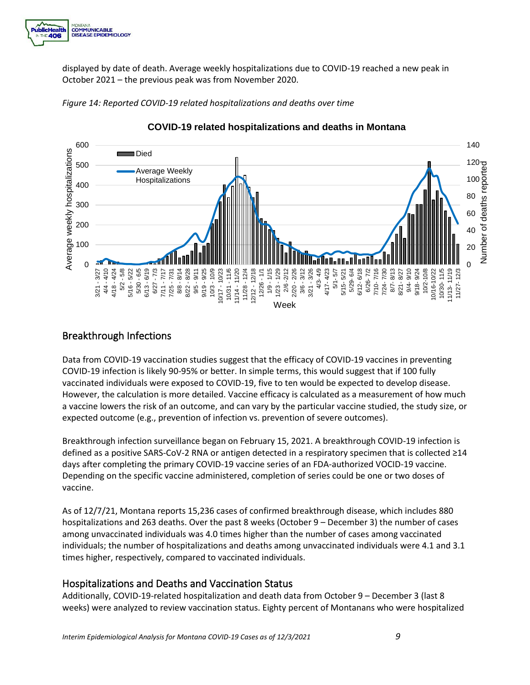

 displayed by date of death. Average weekly hospitalizations due to COVID-19 reached a new peak in October 2021 – the previous peak was from November 2020.





### **COVID-19 related hospitalizations and deaths in Montana**

### Breakthrough Infections

 a vaccine lowers the risk of an outcome, and can vary by the particular vaccine studied, the study size, or Data from COVID-19 vaccination studies suggest that the efficacy of COVID-19 vaccines in preventing COVID-19 infection is likely 90-95% or better. In simple terms, this would suggest that if 100 fully vaccinated individuals were exposed to COVID-19, five to ten would be expected to develop disease. However, the calculation is more detailed. Vaccine efficacy is calculated as a measurement of how much expected outcome (e.g., prevention of infection vs. prevention of severe outcomes).

Breakthrough infection surveillance began on February 15, 2021. A breakthrough COVID-19 infection is defined as a positive SARS-CoV-2 RNA or antigen detected in a respiratory specimen that is collected ≥14 days after completing the primary COVID-19 vaccine series of an FDA-authorized VOCID-19 vaccine. Depending on the specific vaccine administered, completion of series could be one or two doses of vaccine.

 among unvaccinated individuals was 4.0 times higher than the number of cases among vaccinated As of 12/7/21, Montana reports 15,236 cases of confirmed breakthrough disease, which includes 880 hospitalizations and 263 deaths. Over the past 8 weeks (October 9 – December 3) the number of cases individuals; the number of hospitalizations and deaths among unvaccinated individuals were 4.1 and 3.1 times higher, respectively, compared to vaccinated individuals.

# Hospitalizations and Deaths and Vaccination Status

Additionally, COVID-19-related hospitalization and death data from October 9 – December 3 (last 8 weeks) were analyzed to review vaccination status. Eighty percent of Montanans who were hospitalized